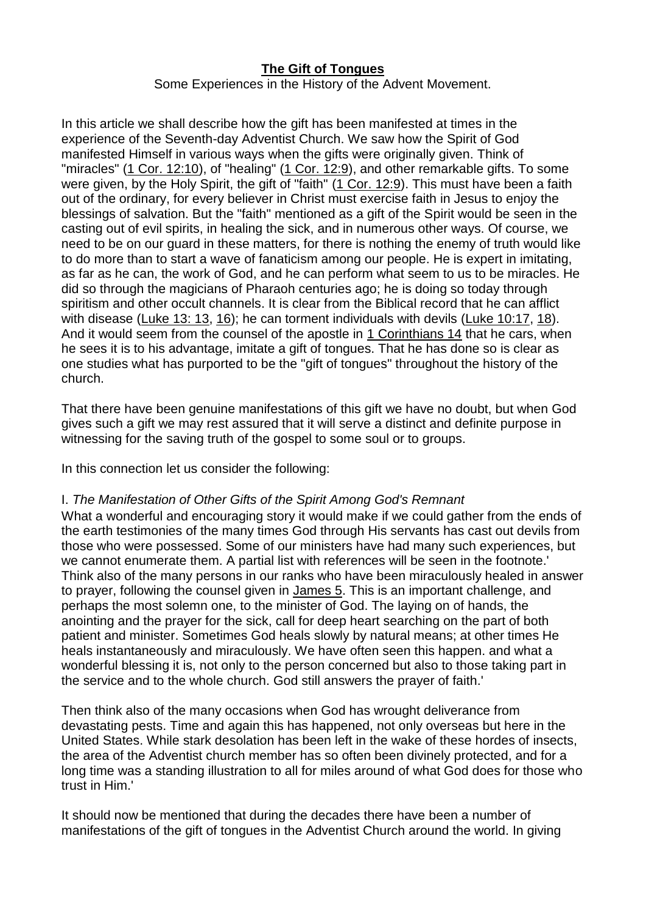## **[The Gift of Tongues](https://www.ministrymagazine.org/)**

Some Experiences in the History of the Advent Movement.

In this article we shall describe how the gift has been manifested at times in the experience of the Seventh-day Adventist Church. We saw how the Spirit of God manifested Himself in various ways when the gifts were originally given. Think of "miracles" (1 Cor. [12:10\)](https://biblia.com/bible/esv/1%20Cor.%2012.10), of "healing" (1 Cor. [12:9\)](https://biblia.com/bible/esv/1%20Cor.%2012.9), and other remarkable gifts. To some were given, by the Holy Spirit, the gift of "faith" (1 Cor. [12:9\)](https://biblia.com/bible/esv/1%20Cor.%2012.9). This must have been a faith out of the ordinary, for every believer in Christ must exercise faith in Jesus to enjoy the blessings of salvation. But the "faith" mentioned as a gift of the Spirit would be seen in the casting out of evil spirits, in healing the sick, and in numerous other ways. Of course, we need to be on our guard in these matters, for there is nothing the enemy of truth would like to do more than to start a wave of fanaticism among our people. He is expert in imitating, as far as he can, the work of God, and he can perform what seem to us to be miracles. He did so through the magicians of Pharaoh centuries ago; he is doing so today through spiritism and other occult channels. It is clear from the Biblical record that he can afflict with disease [\(Luke](https://biblia.com/bible/esv/Luke%2013.%2013) 13: 13, [16\)](https://biblia.com/bible/esv/Luke%2013.16); he can torment individuals with devils (Luke [10:17,](https://biblia.com/bible/esv/Luke%2010.17) [18\)](https://biblia.com/bible/esv/Luke%2010.18). And it would seem from the counsel of the apostle in 1 [Corinthians](https://biblia.com/bible/esv/1%20Cor%2014) 14 that he cars, when he sees it is to his advantage, imitate a gift of tongues. That he has done so is clear as one studies what has purported to be the "gift of tongues" throughout the history of the church.

That there have been genuine manifestations of this gift we have no doubt, but when God gives such a gift we may rest assured that it will serve a distinct and definite purpose in witnessing for the saving truth of the gospel to some soul or to groups.

In this connection let us consider the following:

### I. *The Manifestation of Other Gifts of the Spirit Among God's Remnant*

What a wonderful and encouraging story it would make if we could gather from the ends of the earth testimonies of the many times God through His servants has cast out devils from those who were possessed. Some of our ministers have had many such experiences, but we cannot enumerate them. A partial list with references will be seen in the footnote.' Think also of the many persons in our ranks who have been miraculously healed in answer to prayer, following the counsel given in [James](https://biblia.com/bible/esv/James%205) 5. This is an important challenge, and perhaps the most solemn one, to the minister of God. The laying on of hands, the anointing and the prayer for the sick, call for deep heart searching on the part of both patient and minister. Sometimes God heals slowly by natural means; at other times He heals instantaneously and miraculously. We have often seen this happen. and what a wonderful blessing it is, not only to the person concerned but also to those taking part in the service and to the whole church. God still answers the prayer of faith.'

Then think also of the many occasions when God has wrought deliverance from devastating pests. Time and again this has happened, not only overseas but here in the United States. While stark desolation has been left in the wake of these hordes of insects, the area of the Adventist church member has so often been divinely protected, and for a long time was a standing illustration to all for miles around of what God does for those who trust in Him.'

It should now be mentioned that during the decades there have been a number of manifestations of the gift of tongues in the Adventist Church around the world. In giving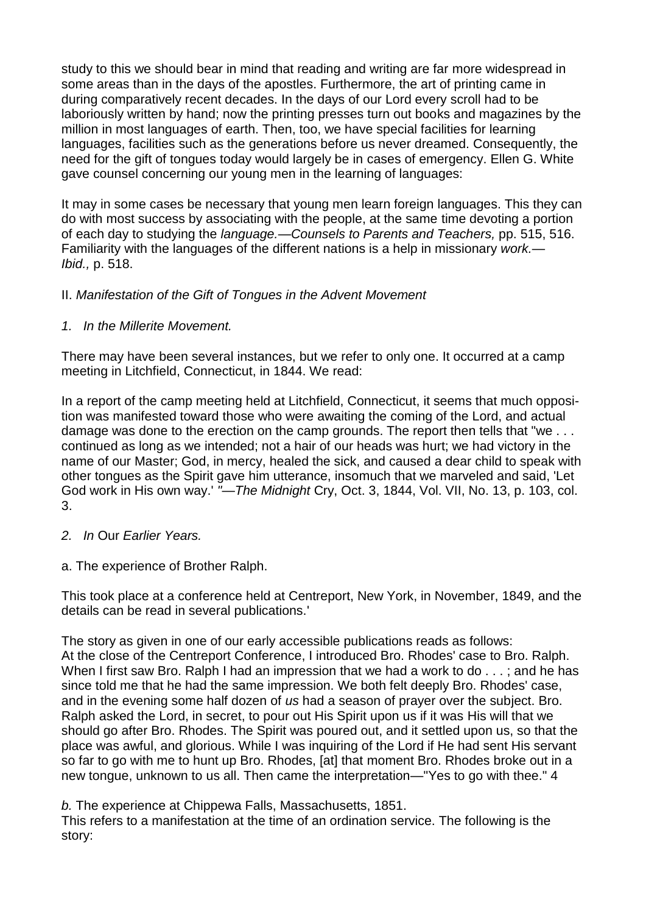study to this we should bear in mind that reading and writing are far more widespread in some areas than in the days of the apostles. Furthermore, the art of printing came in during comparatively recent decades. In the days of our Lord every scroll had to be laboriously written by hand; now the printing presses turn out books and magazines by the million in most languages of earth. Then, too, we have special facilities for learning languages, facilities such as the generations before us never dreamed. Consequently, the need for the gift of tongues today would largely be in cases of emergency. Ellen G. White gave counsel concerning our young men in the learning of languages:

It may in some cases be necessary that young men learn foreign languages. This they can do with most success by associating with the people, at the same time devoting a portion of each day to studying the *language.—Counsels to Parents and Teachers,* pp. 515, 516. Familiarity with the languages of the different nations is a help in missionary *work.— Ibid.,* p. 518.

# II. *Manifestation of the Gift of Tongues in the Advent Movement*

*1. In the Millerite Movement.*

There may have been several instances, but we refer to only one. It occurred at a camp meeting in Litchfield, Connecticut, in 1844. We read:

In a report of the camp meeting held at Litchfield, Connecticut, it seems that much opposition was manifested toward those who were awaiting the coming of the Lord, and actual damage was done to the erection on the camp grounds. The report then tells that "we ... continued as long as we intended; not a hair of our heads was hurt; we had victory in the name of our Master; God, in mercy, healed the sick, and caused a dear child to speak with other tongues as the Spirit gave him utterance, insomuch that we marveled and said, 'Let God work in His own way.' *"—The Midnight* Cry, Oct. 3, 1844, Vol. VII, No. 13, p. 103, col. 3.

- *2. In* Our *Earlier Years.*
- a. The experience of Brother Ralph.

This took place at a conference held at Centreport, New York, in November, 1849, and the details can be read in several publications.'

The story as given in one of our early accessible publications reads as follows: At the close of the Centreport Conference, I introduced Bro. Rhodes' case to Bro. Ralph. When I first saw Bro. Ralph I had an impression that we had a work to do . . . ; and he has since told me that he had the same impression. We both felt deeply Bro. Rhodes' case, and in the evening some half dozen of *us* had a season of prayer over the subject. Bro. Ralph asked the Lord, in secret, to pour out His Spirit upon us if it was His will that we should go after Bro. Rhodes. The Spirit was poured out, and it settled upon us, so that the place was awful, and glorious. While I was inquiring of the Lord if He had sent His servant so far to go with me to hunt up Bro. Rhodes, [at] that moment Bro. Rhodes broke out in a new tongue, unknown to us all. Then came the interpretation—"Yes to go with thee." 4

*b.* The experience at Chippewa Falls, Massachusetts, 1851.

This refers to a manifestation at the time of an ordination service. The following is the story: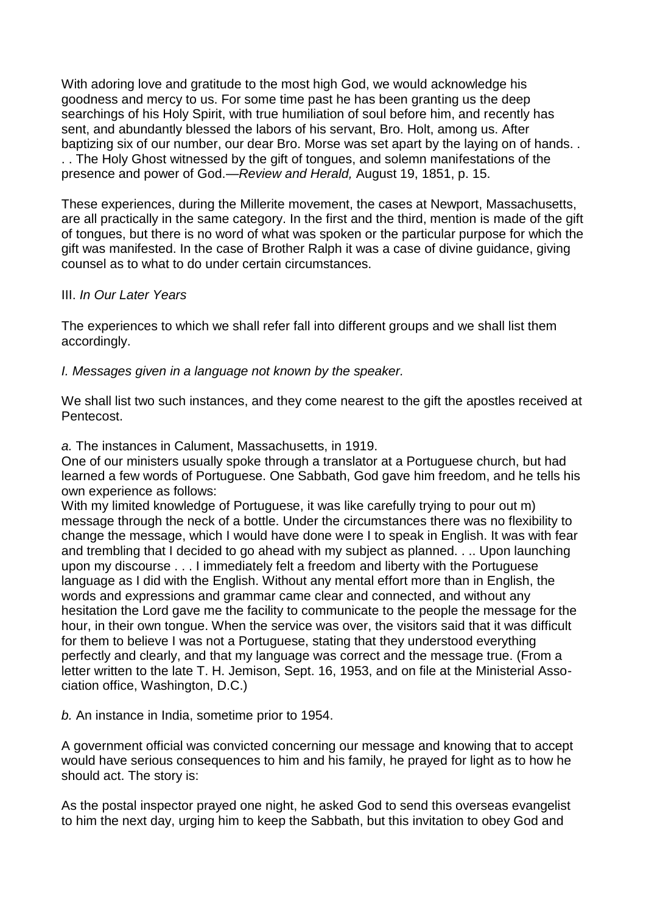With adoring love and gratitude to the most high God, we would acknowledge his goodness and mercy to us. For some time past he has been granting us the deep searchings of his Holy Spirit, with true humiliation of soul before him, and recently has sent, and abundantly blessed the labors of his servant, Bro. Holt, among us. After baptizing six of our number, our dear Bro. Morse was set apart by the laying on of hands. . . . The Holy Ghost witnessed by the gift of tongues, and solemn manifestations of the presence and power of God.—*Review and Herald,* August 19, 1851, p. 15.

These experiences, during the Millerite movement, the cases at Newport, Massachusetts, are all practically in the same category. In the first and the third, mention is made of the gift of tongues, but there is no word of what was spoken or the particular purpose for which the gift was manifested. In the case of Brother Ralph it was a case of divine guidance, giving counsel as to what to do under certain circumstances.

### III. *In Our Later Years*

The experiences to which we shall refer fall into different groups and we shall list them accordingly.

### *I. Messages given in a language not known by the speaker.*

We shall list two such instances, and they come nearest to the gift the apostles received at Pentecost.

#### *a.* The instances in Calument, Massachusetts, in 1919.

One of our ministers usually spoke through a translator at a Portuguese church, but had learned a few words of Portuguese. One Sabbath, God gave him freedom, and he tells his own experience as follows:

With my limited knowledge of Portuguese, it was like carefully trying to pour out m) message through the neck of a bottle. Under the circumstances there was no flexibility to change the message, which I would have done were I to speak in English. It was with fear and trembling that I decided to go ahead with my subject as planned. . .. Upon launching upon my discourse . . . I immediately felt a freedom and liberty with the Portuguese language as I did with the English. Without any mental effort more than in English, the words and expressions and grammar came clear and connected, and without any hesitation the Lord gave me the facility to communicate to the people the message for the hour, in their own tongue. When the service was over, the visitors said that it was difficult for them to believe I was not a Portuguese, stating that they understood everything perfectly and clearly, and that my language was correct and the message true. (From a letter written to the late T. H. Jemison, Sept. 16, 1953, and on file at the Ministerial Association office, Washington, D.C.)

*b.* An instance in India, sometime prior to 1954.

A government official was convicted concerning our message and knowing that to accept would have serious consequences to him and his family, he prayed for light as to how he should act. The story is:

As the postal inspector prayed one night, he asked God to send this overseas evangelist to him the next day, urging him to keep the Sabbath, but this invitation to obey God and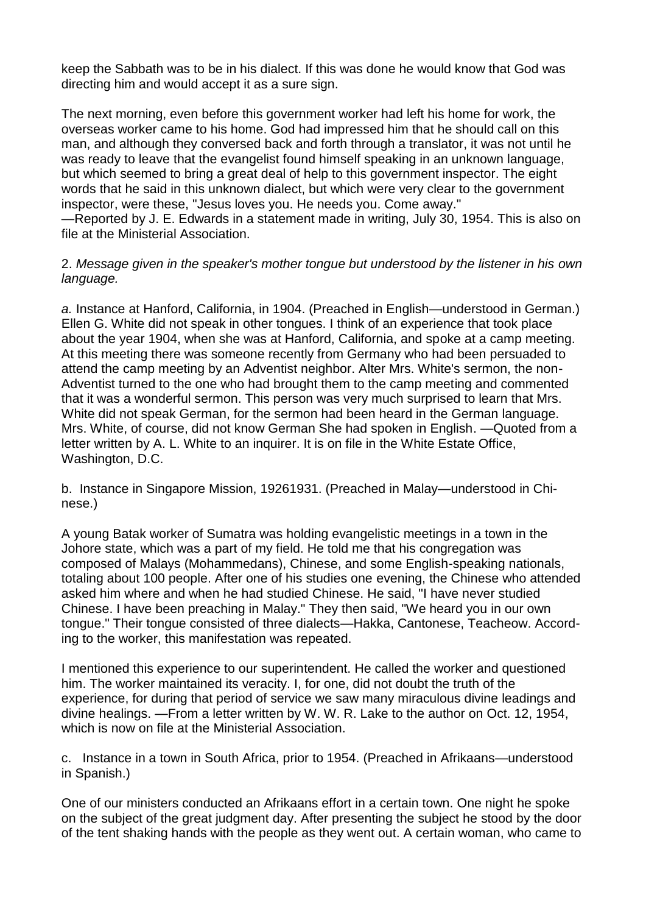keep the Sabbath was to be in his dialect. If this was done he would know that God was directing him and would accept it as a sure sign.

The next morning, even before this government worker had left his home for work, the overseas worker came to his home. God had impressed him that he should call on this man, and although they conversed back and forth through a translator, it was not until he was ready to leave that the evangelist found himself speaking in an unknown language, but which seemed to bring a great deal of help to this government inspector. The eight words that he said in this unknown dialect, but which were very clear to the government inspector, were these, "Jesus loves you. He needs you. Come away."

—Reported by J. E. Edwards in a statement made in writing, July 30, 1954. This is also on file at the Ministerial Association.

2. *Message given in the speaker's mother tongue but understood by the listener in his own language.*

*a.* Instance at Hanford, California, in 1904. (Preached in English—understood in German.) Ellen G. White did not speak in other tongues. I think of an experience that took place about the year 1904, when she was at Hanford, California, and spoke at a camp meeting. At this meeting there was someone recently from Germany who had been persuaded to attend the camp meeting by an Adventist neighbor. Alter Mrs. White's sermon, the non-Adventist turned to the one who had brought them to the camp meeting and commented that it was a wonderful sermon. This person was very much surprised to learn that Mrs. White did not speak German, for the sermon had been heard in the German language. Mrs. White, of course, did not know German She had spoken in English. —Quoted from a letter written by A. L. White to an inquirer. It is on file in the White Estate Office, Washington, D.C.

b. Instance in Singapore Mission, 19261931. (Preached in Malay—understood in Chinese.)

A young Batak worker of Sumatra was holding evangelistic meetings in a town in the Johore state, which was a part of my field. He told me that his congregation was composed of Malays (Mohammedans), Chinese, and some English-speaking nationals, totaling about 100 people. After one of his studies one evening, the Chinese who attended asked him where and when he had studied Chinese. He said, "I have never studied Chinese. I have been preaching in Malay." They then said, "We heard you in our own tongue." Their tongue consisted of three dialects—Hakka, Cantonese, Teacheow. According to the worker, this manifestation was repeated.

I mentioned this experience to our superintendent. He called the worker and questioned him. The worker maintained its veracity. I, for one, did not doubt the truth of the experience, for during that period of service we saw many miraculous divine leadings and divine healings. —From a letter written by W. W. R. Lake to the author on Oct. 12, 1954, which is now on file at the Ministerial Association.

c. Instance in a town in South Africa, prior to 1954. (Preached in Afrikaans—understood in Spanish.)

One of our ministers conducted an Afrikaans effort in a certain town. One night he spoke on the subject of the great judgment day. After presenting the subject he stood by the door of the tent shaking hands with the people as they went out. A certain woman, who came to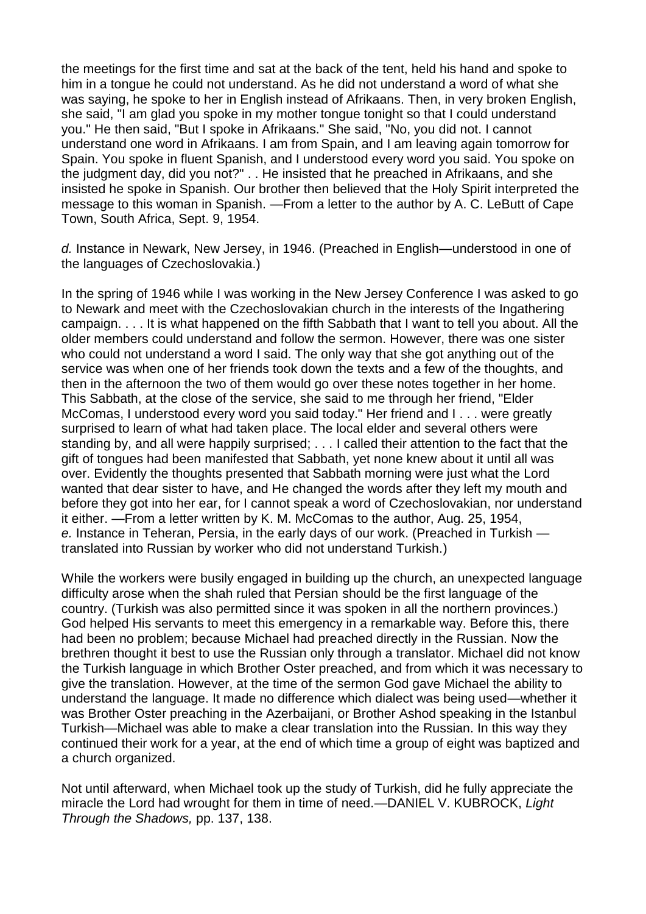the meetings for the first time and sat at the back of the tent, held his hand and spoke to him in a tongue he could not understand. As he did not understand a word of what she was saying, he spoke to her in English instead of Afrikaans. Then, in very broken English, she said, "I am glad you spoke in my mother tongue tonight so that I could understand you." He then said, "But I spoke in Afrikaans." She said, "No, you did not. I cannot understand one word in Afrikaans. I am from Spain, and I am leaving again tomorrow for Spain. You spoke in fluent Spanish, and I understood every word you said. You spoke on the judgment day, did you not?" . . He insisted that he preached in Afrikaans, and she insisted he spoke in Spanish. Our brother then believed that the Holy Spirit interpreted the message to this woman in Spanish. —From a letter to the author by A. C. LeButt of Cape Town, South Africa, Sept. 9, 1954.

*d.* Instance in Newark, New Jersey, in 1946. (Preached in English—understood in one of the languages of Czechoslovakia.)

In the spring of 1946 while I was working in the New Jersey Conference I was asked to go to Newark and meet with the Czechoslovakian church in the interests of the Ingathering campaign. . . . It is what happened on the fifth Sabbath that I want to tell you about. All the older members could understand and follow the sermon. However, there was one sister who could not understand a word I said. The only way that she got anything out of the service was when one of her friends took down the texts and a few of the thoughts, and then in the afternoon the two of them would go over these notes together in her home. This Sabbath, at the close of the service, she said to me through her friend, "Elder McComas, I understood every word you said today." Her friend and I . . . were greatly surprised to learn of what had taken place. The local elder and several others were standing by, and all were happily surprised; . . . I called their attention to the fact that the gift of tongues had been manifested that Sabbath, yet none knew about it until all was over. Evidently the thoughts presented that Sabbath morning were just what the Lord wanted that dear sister to have, and He changed the words after they left my mouth and before they got into her ear, for I cannot speak a word of Czechoslovakian, nor understand it either. —From a letter written by K. M. McComas to the author, Aug. 25, 1954, *e.* Instance in Teheran, Persia, in the early days of our work. (Preached in Turkish translated into Russian by worker who did not understand Turkish.)

While the workers were busily engaged in building up the church, an unexpected language difficulty arose when the shah ruled that Persian should be the first language of the country. (Turkish was also permitted since it was spoken in all the northern provinces.) God helped His servants to meet this emergency in a remarkable way. Before this, there had been no problem; because Michael had preached directly in the Russian. Now the brethren thought it best to use the Russian only through a translator. Michael did not know the Turkish language in which Brother Oster preached, and from which it was necessary to give the translation. However, at the time of the sermon God gave Michael the ability to understand the language. It made no difference which dialect was being used—whether it was Brother Oster preaching in the Azerbaijani, or Brother Ashod speaking in the Istanbul Turkish—Michael was able to make a clear translation into the Russian. In this way they continued their work for a year, at the end of which time a group of eight was baptized and a church organized.

Not until afterward, when Michael took up the study of Turkish, did he fully appreciate the miracle the Lord had wrought for them in time of need.—DANIEL V. KUBROCK, *Light Through the Shadows,* pp. 137, 138.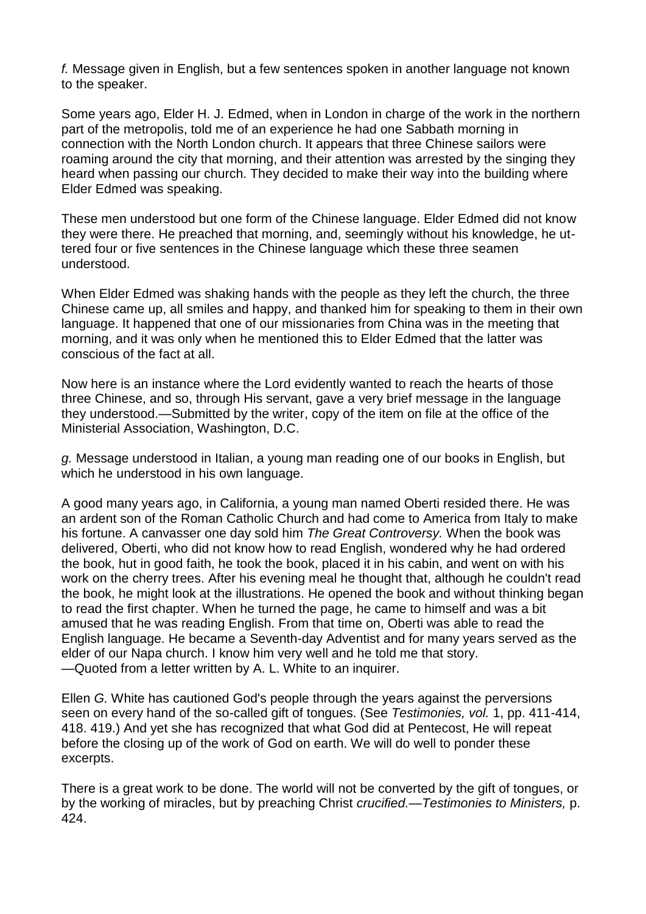*f.* Message given in English, but a few sentences spoken in another language not known to the speaker.

Some years ago, Elder H. J. Edmed, when in London in charge of the work in the northern part of the metropolis, told me of an experience he had one Sabbath morning in connection with the North London church. It appears that three Chinese sailors were roaming around the city that morning, and their attention was arrested by the singing they heard when passing our church. They decided to make their way into the building where Elder Edmed was speaking.

These men understood but one form of the Chinese language. Elder Edmed did not know they were there. He preached that morning, and, seemingly without his knowledge, he uttered four or five sentences in the Chinese language which these three seamen understood.

When Elder Edmed was shaking hands with the people as they left the church, the three Chinese came up, all smiles and happy, and thanked him for speaking to them in their own language. It happened that one of our missionaries from China was in the meeting that morning, and it was only when he mentioned this to Elder Edmed that the latter was conscious of the fact at all.

Now here is an instance where the Lord evidently wanted to reach the hearts of those three Chinese, and so, through His servant, gave a very brief message in the language they understood.—Submitted by the writer, copy of the item on file at the office of the Ministerial Association, Washington, D.C.

*g.* Message understood in Italian, a young man reading one of our books in English, but which he understood in his own language.

A good many years ago, in California, a young man named Oberti resided there. He was an ardent son of the Roman Catholic Church and had come to America from Italy to make his fortune. A canvasser one day sold him *The Great Controversy.* When the book was delivered, Oberti, who did not know how to read English, wondered why he had ordered the book, hut in good faith, he took the book, placed it in his cabin, and went on with his work on the cherry trees. After his evening meal he thought that, although he couldn't read the book, he might look at the illustrations. He opened the book and without thinking began to read the first chapter. When he turned the page, he came to himself and was a bit amused that he was reading English. From that time on, Oberti was able to read the English language. He became a Seventh-day Adventist and for many years served as the elder of our Napa church. I know him very well and he told me that story. —Quoted from a letter written by A. L. White to an inquirer.

Ellen *G.* White has cautioned God's people through the years against the perversions seen on every hand of the so-called gift of tongues. (See *Testimonies, vol.* 1, pp. 411-414, 418. 419.) And yet she has recognized that what God did at Pentecost, He will repeat before the closing up of the work of God on earth. We will do well to ponder these excerpts.

There is a great work to be done. The world will not be converted by the gift of tongues, or by the working of miracles, but by preaching Christ *crucified.—Testimonies to Ministers,* p. 424.